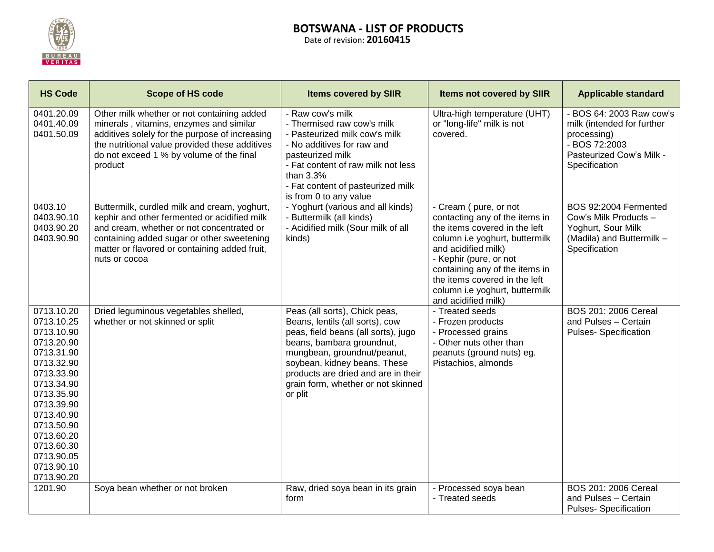

## **BOTSWANA - LIST OF PRODUCTS** Date of revision: **20160415**

**HS Code Integral in the Scope of HS code Integral in the Scope of HS code Integral is a standard Items not covered by SIIR Applicable standard** 0401.20.09 0401.40.09 0401.50.09 Other milk whether or not containing added minerals , vitamins, enzymes and similar additives solely for the purpose of increasing the nutritional value provided these additives do not exceed 1 % by volume of the final product - Raw cow's milk - Thermised raw cow's milk - Pasteurized milk cow's milk - No additives for raw and pasteurized milk - Fat content of raw milk not less than 3.3% - Fat content of pasteurized milk is from 0 to any value Ultra-high temperature (UHT) or "long-life" milk is not covered. - BOS 64: 2003 Raw cow's milk (intended for further processing) - BOS 72:2003 Pasteurized Cow's Milk - **Specification** 0403.10 0403.90.10 0403.90.20 0403.90.90 Buttermilk, curdled milk and cream, yoghurt, kephir and other fermented or acidified milk and cream, whether or not concentrated or containing added sugar or other sweetening matter or flavored or containing added fruit, nuts or cocoa - Yoghurt (various and all kinds) - Buttermilk (all kinds) - Acidified milk (Sour milk of all kinds) - Cream ( pure, or not contacting any of the items in the items covered in the left column i.e yoghurt, buttermilk and acidified milk) - Kephir (pure, or not containing any of the items in the items covered in the left column i.e yoghurt, buttermilk and acidified milk) BOS 92:2004 Fermented Cow's Milk Products – Yoghurt, Sour Milk (Madila) and Buttermilk – **Specification** 0713.10.20 0713.10.25 0713.10.90 0713.20.90 0713.31.90 0713.32.90 0713.33.90 0713.34.90 0713.35.90 0713.39.90 0713.40.90 0713.50.90 0713.60.20 0713.60.30 0713.90.05 0713.90.10 0713.90.20 Dried leguminous vegetables shelled, whether or not skinned or split Peas (all sorts), Chick peas, Beans, lentils (all sorts), cow peas, field beans (all sorts), jugo beans, bambara groundnut, mungbean, groundnut/peanut, soybean, kidney beans. These products are dried and are in their grain form, whether or not skinned or plit - Treated seeds - Frozen products - Processed grains - Other nuts other than peanuts (ground nuts) eg. Pistachios, almonds BOS 201: 2006 Cereal and Pulses – Certain Pulses- Specification 1201.90 Soya bean whether or not broken Raw, dried soya bean in its grain form - Processed soya bean - Treated seeds BOS 201: 2006 Cereal and Pulses – Certain Pulses- Specification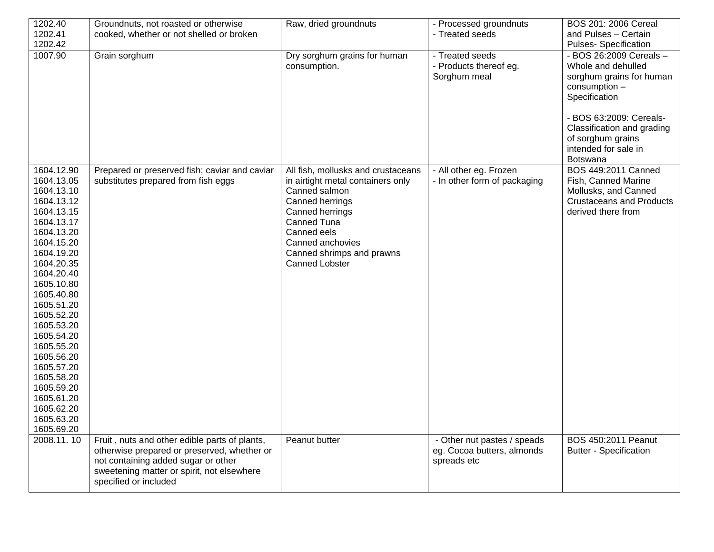| 1202.40                                                                                                                                                                                                                                                                                                                                                                  | Groundnuts, not roasted or otherwise                                                                                                                      | Raw, dried groundnuts                                                                                                                                                                                                                  | - Processed groundnuts                                    | BOS 201: 2006 Cereal                                                                                                                                                                                              |
|--------------------------------------------------------------------------------------------------------------------------------------------------------------------------------------------------------------------------------------------------------------------------------------------------------------------------------------------------------------------------|-----------------------------------------------------------------------------------------------------------------------------------------------------------|----------------------------------------------------------------------------------------------------------------------------------------------------------------------------------------------------------------------------------------|-----------------------------------------------------------|-------------------------------------------------------------------------------------------------------------------------------------------------------------------------------------------------------------------|
| 1202.41                                                                                                                                                                                                                                                                                                                                                                  | cooked, whether or not shelled or broken                                                                                                                  |                                                                                                                                                                                                                                        | - Treated seeds                                           | and Pulses - Certain                                                                                                                                                                                              |
| 1202.42                                                                                                                                                                                                                                                                                                                                                                  |                                                                                                                                                           |                                                                                                                                                                                                                                        |                                                           | <b>Pulses-Specification</b>                                                                                                                                                                                       |
| 1007.90                                                                                                                                                                                                                                                                                                                                                                  | Grain sorghum                                                                                                                                             | Dry sorghum grains for human<br>consumption.                                                                                                                                                                                           | - Treated seeds<br>- Products thereof eg.<br>Sorghum meal | - BOS 26:2009 Cereals -<br>Whole and dehulled<br>sorghum grains for human<br>consumption -<br>Specification<br>- BOS 63:2009: Cereals-<br>Classification and grading<br>of sorghum grains<br>intended for sale in |
|                                                                                                                                                                                                                                                                                                                                                                          |                                                                                                                                                           |                                                                                                                                                                                                                                        |                                                           |                                                                                                                                                                                                                   |
| 1604.12.90<br>1604.13.05<br>1604.13.10<br>1604.13.12<br>1604.13.15<br>1604.13.17<br>1604.13.20<br>1604.15.20<br>1604.19.20<br>1604.20.35<br>1604.20.40<br>1605.10.80<br>1605.40.80<br>1605.51.20<br>1605.52.20<br>1605.53.20<br>1605.54.20<br>1605.55.20<br>1605.56.20<br>1605.57.20<br>1605.58.20<br>1605.59.20<br>1605.61.20<br>1605.62.20<br>1605.63.20<br>1605.69.20 | Prepared or preserved fish; caviar and caviar<br>substitutes prepared from fish eggs                                                                      | All fish, mollusks and crustaceans<br>in airtight metal containers only<br>Canned salmon<br>Canned herrings<br>Canned herrings<br>Canned Tuna<br>Canned eels<br>Canned anchovies<br>Canned shrimps and prawns<br><b>Canned Lobster</b> | - All other eg. Frozen<br>- In other form of packaging    | Botswana<br>BOS 449:2011 Canned<br>Fish, Canned Marine<br>Mollusks, and Canned<br><b>Crustaceans and Products</b><br>derived there from                                                                           |
| 2008.11.10                                                                                                                                                                                                                                                                                                                                                               | Fruit, nuts and other edible parts of plants,                                                                                                             | Peanut butter                                                                                                                                                                                                                          | - Other nut pastes / speads                               | BOS 450:2011 Peanut                                                                                                                                                                                               |
|                                                                                                                                                                                                                                                                                                                                                                          | otherwise prepared or preserved, whether or<br>not containing added sugar or other<br>sweetening matter or spirit, not elsewhere<br>specified or included |                                                                                                                                                                                                                                        | eg. Cocoa butters, almonds<br>spreads etc                 | <b>Butter - Specification</b>                                                                                                                                                                                     |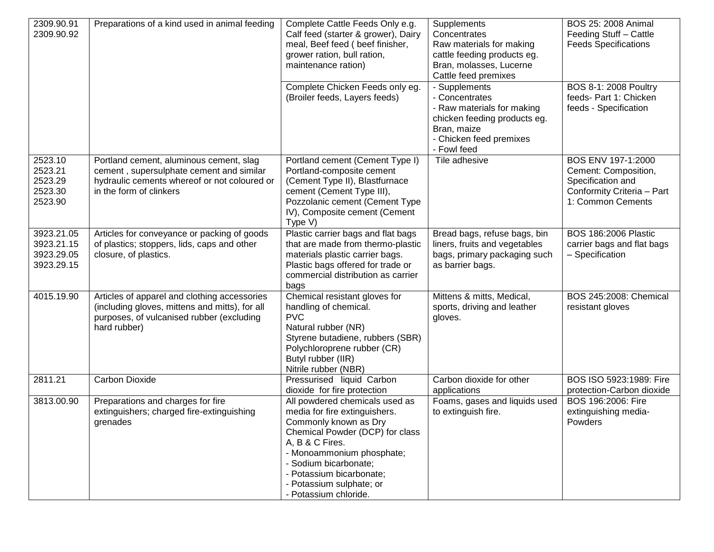| 2309.90.91<br>2309.90.92                             | Preparations of a kind used in animal feeding                                                                                                                  | Complete Cattle Feeds Only e.g.<br>Calf feed (starter & grower), Dairy<br>meal, Beef feed (beef finisher,<br>grower ration, bull ration,<br>maintenance ration)<br>Complete Chicken Feeds only eg.<br>(Broiler feeds, Layers feeds)                                                   | Supplements<br>Concentrates<br>Raw materials for making<br>cattle feeding products eg.<br>Bran, molasses, Lucerne<br>Cattle feed premixes<br>- Supplements<br>- Concentrates<br>- Raw materials for making<br>chicken feeding products eg.<br>Bran, maize<br>- Chicken feed premixes<br>- Fowl feed | BOS 25: 2008 Animal<br>Feeding Stuff - Cattle<br><b>Feeds Specifications</b><br>BOS 8-1: 2008 Poultry<br>feeds- Part 1: Chicken<br>feeds - Specification |
|------------------------------------------------------|----------------------------------------------------------------------------------------------------------------------------------------------------------------|---------------------------------------------------------------------------------------------------------------------------------------------------------------------------------------------------------------------------------------------------------------------------------------|-----------------------------------------------------------------------------------------------------------------------------------------------------------------------------------------------------------------------------------------------------------------------------------------------------|----------------------------------------------------------------------------------------------------------------------------------------------------------|
| 2523.10<br>2523.21<br>2523.29<br>2523.30<br>2523.90  | Portland cement, aluminous cement, slag<br>cement, supersulphate cement and similar<br>hydraulic cements whereof or not coloured or<br>in the form of clinkers | Portland cement (Cement Type I)<br>Portland-composite cement<br>(Cement Type II), Blastfurnace<br>cement (Cement Type III),<br>Pozzolanic cement (Cement Type<br>IV), Composite cement (Cement<br>Type V)                                                                             | Tile adhesive                                                                                                                                                                                                                                                                                       | BOS ENV 197-1:2000<br>Cement: Composition,<br>Specification and<br>Conformity Criteria - Part<br>1: Common Cements                                       |
| 3923.21.05<br>3923.21.15<br>3923.29.05<br>3923.29.15 | Articles for conveyance or packing of goods<br>of plastics; stoppers, lids, caps and other<br>closure, of plastics.                                            | Plastic carrier bags and flat bags<br>that are made from thermo-plastic<br>materials plastic carrier bags.<br>Plastic bags offered for trade or<br>commercial distribution as carrier<br>bags                                                                                         | Bread bags, refuse bags, bin<br>liners, fruits and vegetables<br>bags, primary packaging such<br>as barrier bags.                                                                                                                                                                                   | <b>BOS 186:2006 Plastic</b><br>carrier bags and flat bags<br>- Specification                                                                             |
| 4015.19.90                                           | Articles of apparel and clothing accessories<br>(including gloves, mittens and mitts), for all<br>purposes, of vulcanised rubber (excluding<br>hard rubber)    | Chemical resistant gloves for<br>handling of chemical.<br><b>PVC</b><br>Natural rubber (NR)<br>Styrene butadiene, rubbers (SBR)<br>Polychloroprene rubber (CR)<br>Butyl rubber (IIR)<br>Nitrile rubber (NBR)                                                                          | Mittens & mitts, Medical,<br>sports, driving and leather<br>gloves.                                                                                                                                                                                                                                 | BOS 245:2008: Chemical<br>resistant gloves                                                                                                               |
| 2811.21                                              | <b>Carbon Dioxide</b>                                                                                                                                          | Pressurised liquid Carbon<br>dioxide for fire protection                                                                                                                                                                                                                              | Carbon dioxide for other<br>applications                                                                                                                                                                                                                                                            | BOS ISO 5923:1989: Fire<br>protection-Carbon dioxide                                                                                                     |
| 3813.00.90                                           | Preparations and charges for fire<br>extinguishers; charged fire-extinguishing<br>grenades                                                                     | All powdered chemicals used as<br>media for fire extinguishers.<br>Commonly known as Dry<br>Chemical Powder (DCP) for class<br>A, B & C Fires.<br>- Monoammonium phosphate;<br>- Sodium bicarbonate;<br>- Potassium bicarbonate;<br>- Potassium sulphate; or<br>- Potassium chloride. | Foams, gases and liquids used<br>to extinguish fire.                                                                                                                                                                                                                                                | BOS 196:2006: Fire<br>extinguishing media-<br>Powders                                                                                                    |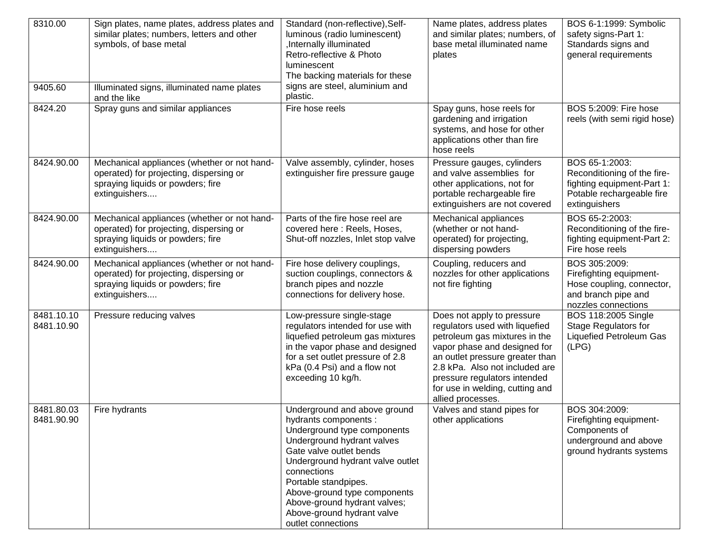| 8310.00<br>9405.60       | Sign plates, name plates, address plates and<br>similar plates; numbers, letters and other<br>symbols, of base metal<br>Illuminated signs, illuminated name plates | Standard (non-reflective), Self-<br>luminous (radio luminescent)<br>Internally illuminated<br>Retro-reflective & Photo<br>luminescent<br>The backing materials for these<br>signs are steel, aluminium and                                                                                                                                   | Name plates, address plates<br>and similar plates; numbers, of<br>base metal illuminated name<br>plates                                                                                                                                                                                    | BOS 6-1:1999: Symbolic<br>safety signs-Part 1:<br>Standards signs and<br>general requirements                             |
|--------------------------|--------------------------------------------------------------------------------------------------------------------------------------------------------------------|----------------------------------------------------------------------------------------------------------------------------------------------------------------------------------------------------------------------------------------------------------------------------------------------------------------------------------------------|--------------------------------------------------------------------------------------------------------------------------------------------------------------------------------------------------------------------------------------------------------------------------------------------|---------------------------------------------------------------------------------------------------------------------------|
| 8424.20                  | and the like<br>Spray guns and similar appliances                                                                                                                  | plastic.<br>Fire hose reels                                                                                                                                                                                                                                                                                                                  | Spay guns, hose reels for<br>gardening and irrigation<br>systems, and hose for other<br>applications other than fire<br>hose reels                                                                                                                                                         | BOS 5:2009: Fire hose<br>reels (with semi rigid hose)                                                                     |
| 8424.90.00               | Mechanical appliances (whether or not hand-<br>operated) for projecting, dispersing or<br>spraying liquids or powders; fire<br>extinguishers                       | Valve assembly, cylinder, hoses<br>extinguisher fire pressure gauge                                                                                                                                                                                                                                                                          | Pressure gauges, cylinders<br>and valve assemblies for<br>other applications, not for<br>portable rechargeable fire<br>extinguishers are not covered                                                                                                                                       | BOS 65-1:2003:<br>Reconditioning of the fire-<br>fighting equipment-Part 1:<br>Potable rechargeable fire<br>extinguishers |
| 8424.90.00               | Mechanical appliances (whether or not hand-<br>operated) for projecting, dispersing or<br>spraying liquids or powders; fire<br>extinguishers                       | Parts of the fire hose reel are<br>covered here: Reels, Hoses,<br>Shut-off nozzles, Inlet stop valve                                                                                                                                                                                                                                         | Mechanical appliances<br>(whether or not hand-<br>operated) for projecting,<br>dispersing powders                                                                                                                                                                                          | BOS 65-2:2003:<br>Reconditioning of the fire-<br>fighting equipment-Part 2:<br>Fire hose reels                            |
| 8424.90.00               | Mechanical appliances (whether or not hand-<br>operated) for projecting, dispersing or<br>spraying liquids or powders; fire<br>extinguishers                       | Fire hose delivery couplings,<br>suction couplings, connectors &<br>branch pipes and nozzle<br>connections for delivery hose.                                                                                                                                                                                                                | Coupling, reducers and<br>nozzles for other applications<br>not fire fighting                                                                                                                                                                                                              | BOS 305:2009:<br>Firefighting equipment-<br>Hose coupling, connector,<br>and branch pipe and<br>nozzles connections       |
| 8481.10.10<br>8481.10.90 | Pressure reducing valves                                                                                                                                           | Low-pressure single-stage<br>regulators intended for use with<br>liquefied petroleum gas mixtures<br>in the vapor phase and designed<br>for a set outlet pressure of 2.8<br>kPa (0.4 Psi) and a flow not<br>exceeding 10 kg/h.                                                                                                               | Does not apply to pressure<br>regulators used with liquefied<br>petroleum gas mixtures in the<br>vapor phase and designed for<br>an outlet pressure greater than<br>2.8 kPa. Also not included are<br>pressure regulators intended<br>for use in welding, cutting and<br>allied processes. | BOS 118:2005 Single<br><b>Stage Regulators for</b><br><b>Liquefied Petroleum Gas</b><br>(LPG)                             |
| 8481.80.03<br>8481.90.90 | Fire hydrants                                                                                                                                                      | Underground and above ground<br>hydrants components :<br>Underground type components<br>Underground hydrant valves<br>Gate valve outlet bends<br>Underground hydrant valve outlet<br>connections<br>Portable standpipes.<br>Above-ground type components<br>Above-ground hydrant valves;<br>Above-ground hydrant valve<br>outlet connections | Valves and stand pipes for<br>other applications                                                                                                                                                                                                                                           | BOS 304:2009:<br>Firefighting equipment-<br>Components of<br>underground and above<br>ground hydrants systems             |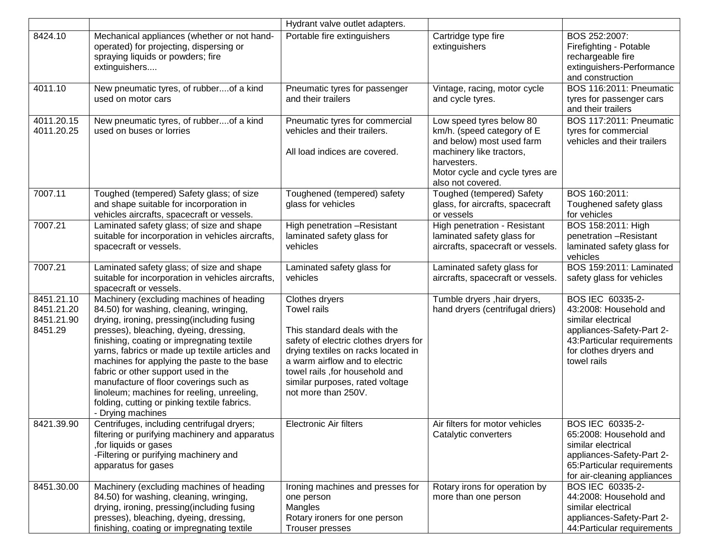|                                                   |                                                                                                                                                                                                                                                                                                                                                                                                                                                                                                                                | Hydrant valve outlet adapters.                                                                                                                                                                                                                                                      |                                                                                                                                                                                        |                                                                                                                                                                       |
|---------------------------------------------------|--------------------------------------------------------------------------------------------------------------------------------------------------------------------------------------------------------------------------------------------------------------------------------------------------------------------------------------------------------------------------------------------------------------------------------------------------------------------------------------------------------------------------------|-------------------------------------------------------------------------------------------------------------------------------------------------------------------------------------------------------------------------------------------------------------------------------------|----------------------------------------------------------------------------------------------------------------------------------------------------------------------------------------|-----------------------------------------------------------------------------------------------------------------------------------------------------------------------|
| 8424.10                                           | Mechanical appliances (whether or not hand-<br>operated) for projecting, dispersing or<br>spraying liquids or powders; fire<br>extinguishers                                                                                                                                                                                                                                                                                                                                                                                   | Portable fire extinguishers                                                                                                                                                                                                                                                         | Cartridge type fire<br>extinguishers                                                                                                                                                   | BOS 252:2007:<br>Firefighting - Potable<br>rechargeable fire<br>extinguishers-Performance<br>and construction                                                         |
| 4011.10                                           | New pneumatic tyres, of rubberof a kind<br>used on motor cars                                                                                                                                                                                                                                                                                                                                                                                                                                                                  | Pneumatic tyres for passenger<br>and their trailers                                                                                                                                                                                                                                 | Vintage, racing, motor cycle<br>and cycle tyres.                                                                                                                                       | <b>BOS 116:2011: Pneumatic</b><br>tyres for passenger cars<br>and their trailers                                                                                      |
| 4011.20.15<br>4011.20.25                          | New pneumatic tyres, of rubberof a kind<br>used on buses or lorries                                                                                                                                                                                                                                                                                                                                                                                                                                                            | Pneumatic tyres for commercial<br>vehicles and their trailers.<br>All load indices are covered.                                                                                                                                                                                     | Low speed tyres below 80<br>km/h. (speed category of E<br>and below) most used farm<br>machinery like tractors,<br>harvesters.<br>Motor cycle and cycle tyres are<br>also not covered. | <b>BOS 117:2011: Pneumatic</b><br>tyres for commercial<br>vehicles and their trailers                                                                                 |
| 7007.11                                           | Toughed (tempered) Safety glass; of size<br>and shape suitable for incorporation in<br>vehicles aircrafts, spacecraft or vessels.                                                                                                                                                                                                                                                                                                                                                                                              | Toughened (tempered) safety<br>glass for vehicles                                                                                                                                                                                                                                   | Toughed (tempered) Safety<br>glass, for aircrafts, spacecraft<br>or vessels                                                                                                            | BOS 160:2011:<br>Toughened safety glass<br>for vehicles                                                                                                               |
| 7007.21                                           | Laminated safety glass; of size and shape<br>suitable for incorporation in vehicles aircrafts,<br>spacecraft or vessels.                                                                                                                                                                                                                                                                                                                                                                                                       | High penetration -Resistant<br>laminated safety glass for<br>vehicles                                                                                                                                                                                                               | High penetration - Resistant<br>laminated safety glass for<br>aircrafts, spacecraft or vessels.                                                                                        | BOS 158:2011: High<br>penetration -Resistant<br>laminated safety glass for<br>vehicles                                                                                |
| 7007.21                                           | Laminated safety glass; of size and shape<br>suitable for incorporation in vehicles aircrafts,<br>spacecraft or vessels.                                                                                                                                                                                                                                                                                                                                                                                                       | Laminated safety glass for<br>vehicles                                                                                                                                                                                                                                              | Laminated safety glass for<br>aircrafts, spacecraft or vessels.                                                                                                                        | BOS 159:2011: Laminated<br>safety glass for vehicles                                                                                                                  |
| 8451.21.10<br>8451.21.20<br>8451.21.90<br>8451.29 | Machinery (excluding machines of heading<br>84.50) for washing, cleaning, wringing,<br>drying, ironing, pressing(including fusing<br>presses), bleaching, dyeing, dressing,<br>finishing, coating or impregnating textile<br>yarns, fabrics or made up textile articles and<br>machines for applying the paste to the base<br>fabric or other support used in the<br>manufacture of floor coverings such as<br>linoleum; machines for reeling, unreeling,<br>folding, cutting or pinking textile fabrics.<br>- Drying machines | Clothes dryers<br><b>Towel rails</b><br>This standard deals with the<br>safety of electric clothes dryers for<br>drying textiles on racks located in<br>a warm airflow and to electric<br>towel rails , for household and<br>similar purposes, rated voltage<br>not more than 250V. | Tumble dryers, hair dryers,<br>hand dryers (centrifugal driers)                                                                                                                        | BOS IEC 60335-2-<br>43:2008: Household and<br>similar electrical<br>appliances-Safety-Part 2-<br>43: Particular requirements<br>for clothes dryers and<br>towel rails |
| 8421.39.90                                        | Centrifuges, including centrifugal dryers;<br>filtering or purifying machinery and apparatus<br>, for liquids or gases<br>-Filtering or purifying machinery and<br>apparatus for gases                                                                                                                                                                                                                                                                                                                                         | Electronic Air filters                                                                                                                                                                                                                                                              | Air filters for motor vehicles<br>Catalytic converters                                                                                                                                 | BOS IEC 60335-2-<br>65:2008: Household and<br>similar electrical<br>appliances-Safety-Part 2-<br>65: Particular requirements<br>for air-cleaning appliances           |
| 8451.30.00                                        | Machinery (excluding machines of heading<br>84.50) for washing, cleaning, wringing,<br>drying, ironing, pressing(including fusing<br>presses), bleaching, dyeing, dressing,<br>finishing, coating or impregnating textile                                                                                                                                                                                                                                                                                                      | Ironing machines and presses for<br>one person<br>Mangles<br>Rotary ironers for one person<br><b>Trouser presses</b>                                                                                                                                                                | Rotary irons for operation by<br>more than one person                                                                                                                                  | BOS IEC 60335-2-<br>44:2008: Household and<br>similar electrical<br>appliances-Safety-Part 2-<br>44: Particular requirements                                          |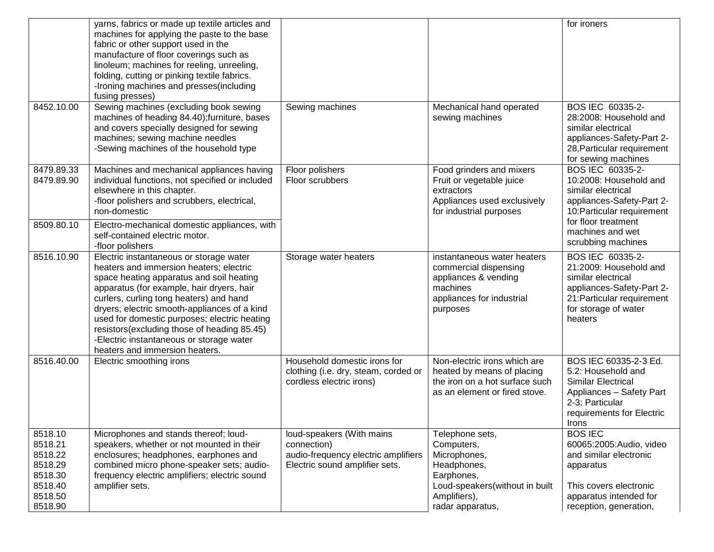| 8452.10.00                                                                           | yarns, fabrics or made up textile articles and<br>machines for applying the paste to the base<br>fabric or other support used in the<br>manufacture of floor coverings such as<br>linoleum; machines for reeling, unreeling,<br>folding, cutting or pinking textile fabrics.<br>-Ironing machines and presses(including<br>fusing presses)<br>Sewing machines (excluding book sewing                                                                | Sewing machines                                                                                                   | Mechanical hand operated                                                                                                                         | for ironers<br>BOS IEC 60335-2-                                                                                                                                |
|--------------------------------------------------------------------------------------|-----------------------------------------------------------------------------------------------------------------------------------------------------------------------------------------------------------------------------------------------------------------------------------------------------------------------------------------------------------------------------------------------------------------------------------------------------|-------------------------------------------------------------------------------------------------------------------|--------------------------------------------------------------------------------------------------------------------------------------------------|----------------------------------------------------------------------------------------------------------------------------------------------------------------|
|                                                                                      | machines of heading 84.40); furniture, bases<br>and covers specially designed for sewing<br>machines; sewing machine needles<br>-Sewing machines of the household type                                                                                                                                                                                                                                                                              |                                                                                                                   | sewing machines                                                                                                                                  | 28:2008: Household and<br>similar electrical<br>appliances-Safety-Part 2-<br>28, Particular requirement<br>for sewing machines                                 |
| 8479.89.33<br>8479.89.90                                                             | Machines and mechanical appliances having<br>individual functions, not specified or included<br>elsewhere in this chapter.<br>-floor polishers and scrubbers, electrical,<br>non-domestic                                                                                                                                                                                                                                                           | Floor polishers<br>Floor scrubbers                                                                                | Food grinders and mixers<br>Fruit or vegetable juice<br>extractors<br>Appliances used exclusively<br>for industrial purposes                     | BOS IEC 60335-2-<br>10:2008: Household and<br>similar electrical<br>appliances-Safety-Part 2-<br>10: Particular requirement<br>for floor treatment             |
| 8509.80.10                                                                           | Electro-mechanical domestic appliances, with<br>self-contained electric motor.<br>-floor polishers                                                                                                                                                                                                                                                                                                                                                  |                                                                                                                   |                                                                                                                                                  | machines and wet<br>scrubbing machines                                                                                                                         |
| 8516.10.90                                                                           | Electric instantaneous or storage water<br>heaters and immersion heaters; electric<br>space heating apparatus and soil heating<br>apparatus (for example, hair dryers, hair<br>curlers, curling tong heaters) and hand<br>dryers; electric smooth-appliances of a kind<br>used for domestic purposes; electric heating<br>resistors(excluding those of heading 85.45)<br>-Electric instantaneous or storage water<br>heaters and immersion heaters. | Storage water heaters                                                                                             | instantaneous water heaters<br>commercial dispensing<br>appliances & vending<br>machines<br>appliances for industrial<br>purposes                | BOS IEC 60335-2-<br>21:2009: Household and<br>similar electrical<br>appliances-Safety-Part 2-<br>21: Particular requirement<br>for storage of water<br>heaters |
| 8516.40.00                                                                           | Electric smoothing irons                                                                                                                                                                                                                                                                                                                                                                                                                            | Household domestic irons for<br>clothing (i.e. dry, steam, corded or<br>cordless electric irons)                  | Non-electric irons which are<br>heated by means of placing<br>the iron on a hot surface such<br>as an element or fired stove.                    | BOS IEC 60335-2-3 Ed.<br>5.2: Household and<br><b>Similar Electrical</b><br>Appliances - Safety Part<br>2-3: Particular<br>requirements for Electric<br>Irons  |
| 8518.10<br>8518.21<br>8518.22<br>8518.29<br>8518.30<br>8518.40<br>8518.50<br>8518.90 | Microphones and stands thereof; loud-<br>speakers, whether or not mounted in their<br>enclosures; headphones, earphones and<br>combined micro phone-speaker sets; audio-<br>frequency electric amplifiers; electric sound<br>amplifier sets.                                                                                                                                                                                                        | loud-speakers (With mains<br>connection)<br>audio-frequency electric amplifiers<br>Electric sound amplifier sets. | Telephone sets,<br>Computers,<br>Microphones,<br>Headphones,<br>Earphones,<br>Loud-speakers(without in built<br>Amplifiers),<br>radar apparatus, | <b>BOS IEC</b><br>60065:2005:Audio, video<br>and similar electronic<br>apparatus<br>This covers electronic<br>apparatus intended for<br>reception, generation, |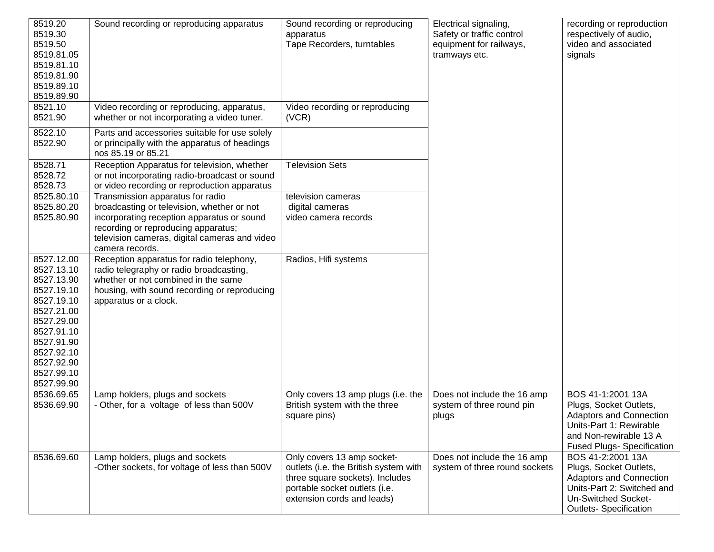| 8519.20<br>8519.30<br>8519.50<br>8519.81.05<br>8519.81.10<br>8519.81.90<br>8519.89.10<br>8519.89.90                                                                                | Sound recording or reproducing apparatus                                                                                                                                                                                                | Sound recording or reproducing<br>apparatus<br>Tape Recorders, turntables                                                                                             | Electrical signaling,<br>Safety or traffic control<br>equipment for railways,<br>tramways etc. | recording or reproduction<br>respectively of audio,<br>video and associated<br>signals                                                                                  |
|------------------------------------------------------------------------------------------------------------------------------------------------------------------------------------|-----------------------------------------------------------------------------------------------------------------------------------------------------------------------------------------------------------------------------------------|-----------------------------------------------------------------------------------------------------------------------------------------------------------------------|------------------------------------------------------------------------------------------------|-------------------------------------------------------------------------------------------------------------------------------------------------------------------------|
| 8521.10<br>8521.90                                                                                                                                                                 | Video recording or reproducing, apparatus,<br>whether or not incorporating a video tuner.                                                                                                                                               | Video recording or reproducing<br>(VCR)                                                                                                                               |                                                                                                |                                                                                                                                                                         |
| 8522.10<br>8522.90                                                                                                                                                                 | Parts and accessories suitable for use solely<br>or principally with the apparatus of headings<br>nos 85.19 or 85.21                                                                                                                    |                                                                                                                                                                       |                                                                                                |                                                                                                                                                                         |
| 8528.71<br>8528.72<br>8528.73                                                                                                                                                      | Reception Apparatus for television, whether<br>or not incorporating radio-broadcast or sound<br>or video recording or reproduction apparatus                                                                                            | <b>Television Sets</b>                                                                                                                                                |                                                                                                |                                                                                                                                                                         |
| 8525.80.10<br>8525.80.20<br>8525.80.90                                                                                                                                             | Transmission apparatus for radio<br>broadcasting or television, whether or not<br>incorporating reception apparatus or sound<br>recording or reproducing apparatus;<br>television cameras, digital cameras and video<br>camera records. | television cameras<br>digital cameras<br>video camera records                                                                                                         |                                                                                                |                                                                                                                                                                         |
| 8527.12.00<br>8527.13.10<br>8527.13.90<br>8527.19.10<br>8527.19.10<br>8527.21.00<br>8527.29.00<br>8527.91.10<br>8527.91.90<br>8527.92.10<br>8527.92.90<br>8527.99.10<br>8527.99.90 | Reception apparatus for radio telephony,<br>radio telegraphy or radio broadcasting,<br>whether or not combined in the same<br>housing, with sound recording or reproducing<br>apparatus or a clock.                                     | Radios, Hifi systems                                                                                                                                                  |                                                                                                |                                                                                                                                                                         |
| 8536.69.65<br>8536.69.90                                                                                                                                                           | Lamp holders, plugs and sockets<br>- Other, for a voltage of less than 500V                                                                                                                                                             | Only covers 13 amp plugs (i.e. the<br>British system with the three<br>square pins)                                                                                   | Does not include the 16 amp<br>system of three round pin<br>plugs                              | BOS 41-1:2001 13A<br>Plugs, Socket Outlets,<br><b>Adaptors and Connection</b><br>Units-Part 1: Rewirable<br>and Non-rewirable 13 A<br><b>Fused Plugs- Specification</b> |
| 8536.69.60                                                                                                                                                                         | Lamp holders, plugs and sockets<br>-Other sockets, for voltage of less than 500V                                                                                                                                                        | Only covers 13 amp socket-<br>outlets (i.e. the British system with<br>three square sockets). Includes<br>portable socket outlets (i.e.<br>extension cords and leads) | Does not include the 16 amp<br>system of three round sockets                                   | BOS 41-2:2001 13A<br>Plugs, Socket Outlets,<br><b>Adaptors and Connection</b><br>Units-Part 2: Switched and<br>Un-Switched Socket-<br><b>Outlets- Specification</b>     |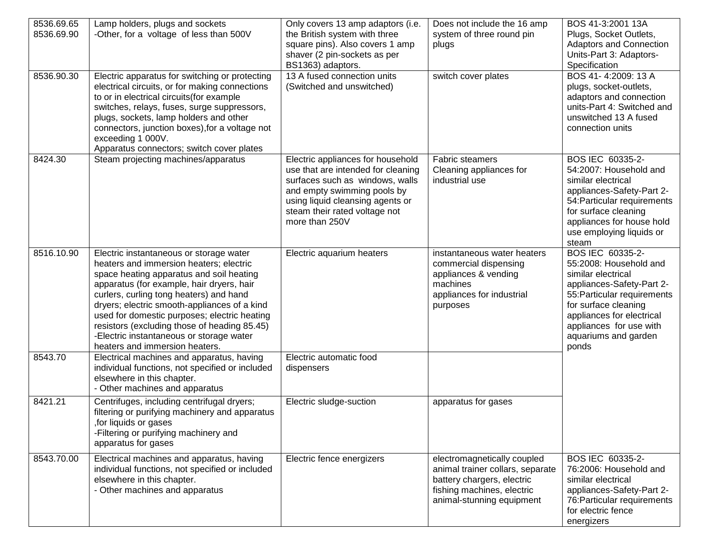| 8536.69.65<br>8536.69.90<br>8536.90.30 | Lamp holders, plugs and sockets<br>-Other, for a voltage of less than 500V<br>Electric apparatus for switching or protecting                                                                                                                                                                                                                                                                                                                         | Only covers 13 amp adaptors (i.e.<br>the British system with three<br>square pins). Also covers 1 amp<br>shaver (2 pin-sockets as per<br>BS1363) adaptors.<br>13 A fused connection units                                        | Does not include the 16 amp<br>system of three round pin<br>plugs<br>switch cover plates                                                                 | BOS 41-3:2001 13A<br>Plugs, Socket Outlets,<br><b>Adaptors and Connection</b><br>Units-Part 3: Adaptors-<br>Specification<br>BOS 41-4:2009: 13 A                                                                                              |
|----------------------------------------|------------------------------------------------------------------------------------------------------------------------------------------------------------------------------------------------------------------------------------------------------------------------------------------------------------------------------------------------------------------------------------------------------------------------------------------------------|----------------------------------------------------------------------------------------------------------------------------------------------------------------------------------------------------------------------------------|----------------------------------------------------------------------------------------------------------------------------------------------------------|-----------------------------------------------------------------------------------------------------------------------------------------------------------------------------------------------------------------------------------------------|
|                                        | electrical circuits, or for making connections<br>to or in electrical circuits(for example<br>switches, relays, fuses, surge suppressors,<br>plugs, sockets, lamp holders and other<br>connectors, junction boxes), for a voltage not<br>exceeding 1 000V.<br>Apparatus connectors; switch cover plates                                                                                                                                              | (Switched and unswitched)                                                                                                                                                                                                        |                                                                                                                                                          | plugs, socket-outlets,<br>adaptors and connection<br>units-Part 4: Switched and<br>unswitched 13 A fused<br>connection units                                                                                                                  |
| 8424.30                                | Steam projecting machines/apparatus                                                                                                                                                                                                                                                                                                                                                                                                                  | Electric appliances for household<br>use that are intended for cleaning<br>surfaces such as windows, walls<br>and empty swimming pools by<br>using liquid cleansing agents or<br>steam their rated voltage not<br>more than 250V | Fabric steamers<br>Cleaning appliances for<br>industrial use                                                                                             | BOS IEC 60335-2-<br>54:2007: Household and<br>similar electrical<br>appliances-Safety-Part 2-<br>54: Particular requirements<br>for surface cleaning<br>appliances for house hold<br>use employing liquids or<br>steam                        |
| 8516.10.90                             | Electric instantaneous or storage water<br>heaters and immersion heaters; electric<br>space heating apparatus and soil heating<br>apparatus (for example, hair dryers, hair<br>curlers, curling tong heaters) and hand<br>dryers; electric smooth-appliances of a kind<br>used for domestic purposes; electric heating<br>resistors (excluding those of heading 85.45)<br>-Electric instantaneous or storage water<br>heaters and immersion heaters. | Electric aquarium heaters                                                                                                                                                                                                        | instantaneous water heaters<br>commercial dispensing<br>appliances & vending<br>machines<br>appliances for industrial<br>purposes                        | BOS IEC 60335-2-<br>55:2008: Household and<br>similar electrical<br>appliances-Safety-Part 2-<br>55: Particular requirements<br>for surface cleaning<br>appliances for electrical<br>appliances for use with<br>aquariums and garden<br>ponds |
| 8543.70                                | Electrical machines and apparatus, having<br>individual functions, not specified or included<br>elsewhere in this chapter.<br>- Other machines and apparatus                                                                                                                                                                                                                                                                                         | Electric automatic food<br>dispensers                                                                                                                                                                                            |                                                                                                                                                          |                                                                                                                                                                                                                                               |
| 8421.21                                | Centrifuges, including centrifugal dryers;<br>filtering or purifying machinery and apparatus<br>for liquids or gases,<br>-Filtering or purifying machinery and<br>apparatus for gases                                                                                                                                                                                                                                                                | Electric sludge-suction                                                                                                                                                                                                          | apparatus for gases                                                                                                                                      |                                                                                                                                                                                                                                               |
| 8543.70.00                             | Electrical machines and apparatus, having<br>individual functions, not specified or included<br>elsewhere in this chapter.<br>- Other machines and apparatus                                                                                                                                                                                                                                                                                         | Electric fence energizers                                                                                                                                                                                                        | electromagnetically coupled<br>animal trainer collars, separate<br>battery chargers, electric<br>fishing machines, electric<br>animal-stunning equipment | BOS IEC 60335-2-<br>76:2006: Household and<br>similar electrical<br>appliances-Safety-Part 2-<br>76: Particular requirements<br>for electric fence<br>energizers                                                                              |